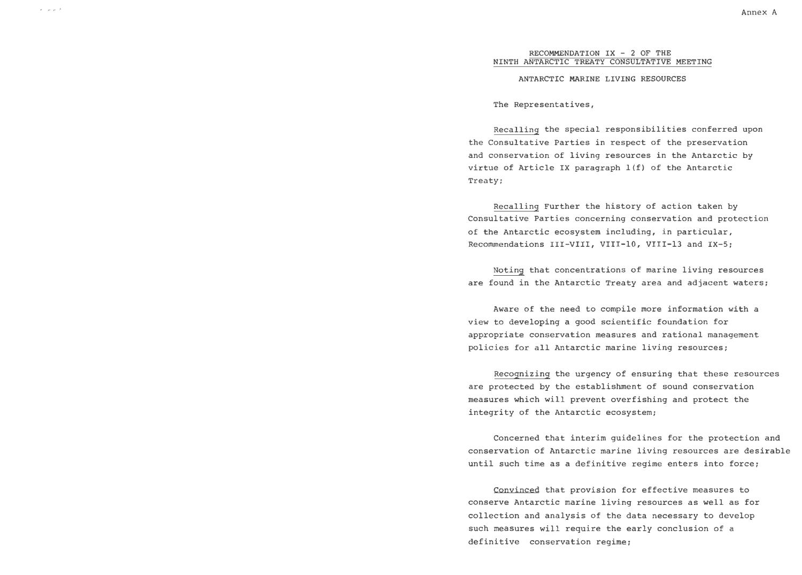### RECOMMENDATION IX - 2 OF THE NINTH ANTARCTIC TREATY CONSULTATIVE MEETING

ANTARCTIC **MARINE** LIVING RESOURCES

The Representatives,

Recalling the special responsibilities conferred upon the Consultative Parties in respect of the preservation and conservation of living resources in the Antarctic by virtue of Article IX paragraph l(f) of the Antarctic Treaty;

Recalling Further the history of action taken by Consultative Parties concerning conservation and protection of the Antarctic ecosystem including, in particular, Recommendations III-VIII, VIII-10, VIII-13 and IX-5;

Noting that concentrations of marine living resources are found in the Antarctic Treaty area and adjacent waters;

Aware of the need to compile more information with a view to developing a good scientific foundation for appropriate conservation measures and rational management policies for all Antarctic marine living resources;

Recognizing the urgency of ensuring that these resources are protected by the establishment of sound conservation measures which will prevent overfishing and protect the integrity of the Antarctic ecosystem;

Concerned that interim guidelines for the protection and conservation of Antarctic marine living resources are desirable until such time as a definitive regime enters into force;

Convinced that provision for effective measures to conserve Antarctic marine living resources as well as for collection and analysis of the data necessary to develop such measures will require the early conclusion of a definitive conservation regime;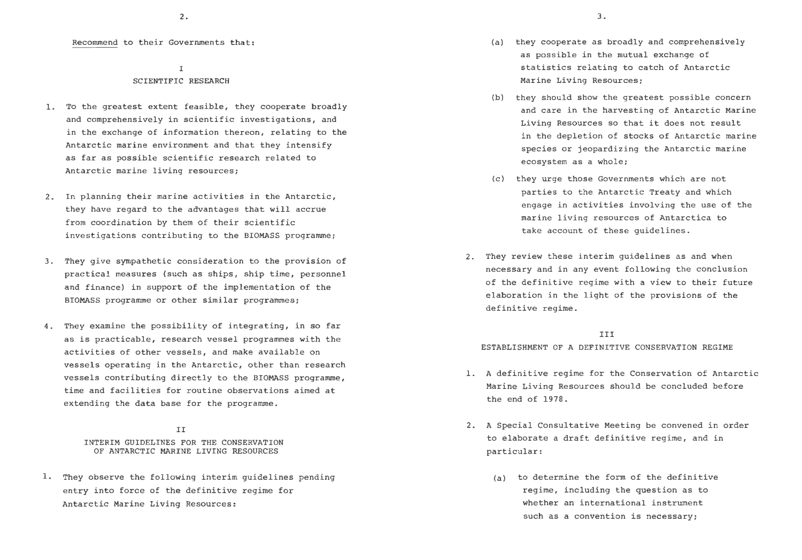Recommend to their Governments that:

# I SCIENTIFIC RESEARCH

- 1. To the greatest extent feasible, they cooperate broadly and comprehensively in scientific investigations, and *in* the exchange of information thereon, relating to the Antarctic marine environment and that they intensify as far as possible scientific research related to Antarctic marine living resources;
- 2. In planning their marine activities in the Antarctic, they have regard to the advantages that will accrue from coordination by them of their scientific investigations contributing to the BIOMASS programme;
- 3. They give sympathetic consideration to the provision of practical measures (such as ships, ship time, personnel and finance) in support of the implementation of the BIOMASS programme or other similar programmes;
- 4. They examine the possibility of integrating, in so far as is practicable, research vessel programmes with the activities of other vessels, and make available on vessels operating in the Antarctic, other than research vessels contributing directly to the BIOMASS programme, time and facilities for routine observations aimed at extending the data base for the programme.

# II INTERIM GUIDELINES FOR THE CONSERVATION OF ANTARCTIC MARINE LIVING RESOURCES

1. They observe the following interim guidelines pending entry into force of the definitive regime for Antarctic Marine Living Resources:

- (a) they cooperate as broadly and comprehensively as possible in the mutual exchange of statistics relating to catch of Antarctic Marine Living Resources;
- (b) they should show the greatest possible concern and care in the harvesting of Antarctic Marine Living Resources so that it does not result in the depletion of stocks of Antarctic marine species or jeopardizing the Antarctic marine ecosystem as a whole;
- (c) they urge those Governments which are not parties to the Antarctic Treaty and which engage in activities involving the use of the marine living resources of Antarctica to take account of these guidelines.
- 2. They review these interim guidelines as and when necessary and in any event following the conclusion of the definitive regime with a view to their future elaboration in the light of the provisions of the definitive regime.

#### III

### ESTABLISHMENT OF A DEFINITIVE CONSERVATION REGIME

- 1. A definitive regime for the Conservation of Antarctic Marine Living Resources should be concluded before the end of 1978.
- 2. A Special Consultative Meeting be convened in order to elaborate a draft definitive regime, and in particular:
	- (a) to determine the form of the definitive regime, including the question as to whether an international instrument such as a convention is necessary;

3.